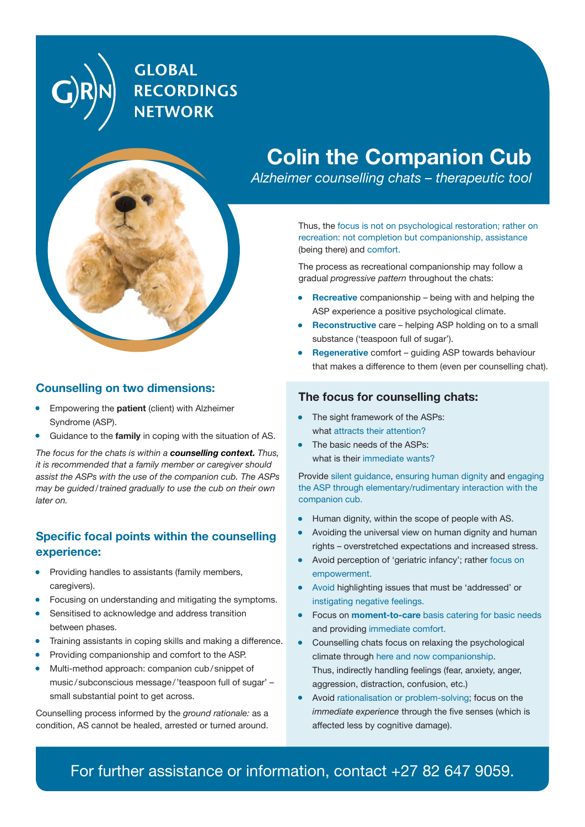# **GLOBAL RECORDINGS NETWORK**



### **Counselling on two dimensions:**

- **Empowering the patient (client) with Alzheimer** Syndrome (ASP).
- Guidance to the **family** in coping with the situation of AS.

*The focus for the chats is within a counselling context. Thus, it is recommended that a family member or caregiver should assist the ASPs with the use of the companion cub. The ASPs may be guided/trained gradually to use the cub on their own later on.*

### **Specific focal points within the counselling experience:**

- Providing handles to assistants (family members, caregivers).
- Focusing on understanding and mitigating the symptoms.
- Sensitised to acknowledge and address transition between phases.
- Training assistants in coping skills and making a difference.
- Providing companionship and comfort to the ASP.
- Multi-method approach: companion cub/snippet of music*/* subconscious message*/*'teaspoon full of sugar' – small substantial point to get across.

Counselling process informed by the *ground rationale:* as a condition, AS cannot be healed, arrested or turned around.

# **Colin the Companion Cub**

*Alzheimer counselling chats – therapeutic tool* 

Thus, the focus is not on psychological restoration; rather on recreation: not completion but companionship, assistance (being there) and comfort.

The process as recreational companionship may follow a gradual *progressive pattern* throughout the chats:

- **Recreative** companionship being with and helping the ASP experience a positive psychological climate.
- **Reconstructive** care helping ASP holding on to a small substance ('teaspoon full of sugar').
- **Regenerative comfort guiding ASP towards behaviour** that makes a difference to them (even per counselling chat).

#### **The focus for counselling chats:**

- The sight framework of the ASPs: what attracts their attention?
- The basic needs of the ASPs: what is their immediate wants?

Provide silent guidance, ensuring human dignity and engaging the ASP through elementary/rudimentary interaction with the companion cub.

- Human dignity, within the scope of people with AS.
- Avoiding the universal view on human dignity and human rights – overstretched expectations and increased stress.
- Avoid perception of 'geriatric infancy'; rather focus on empowerment.
- Avoid highlighting issues that must be 'addressed' or instigating negative feelings.
- **•** Focus on **moment-to-care** basis catering for basic needs and providing immediate comfort.
- Counselling chats focus on relaxing the psychological climate through here and now companionship. Thus, indirectly handling feelings (fear, anxiety, anger, aggression, distraction, confusion, etc.)
- Avoid rationalisation or problem-solving; focus on the *immediate experience* through the five senses (which is affected less by cognitive damage).

### For further assistance or information, contact +27 82 647 9059.